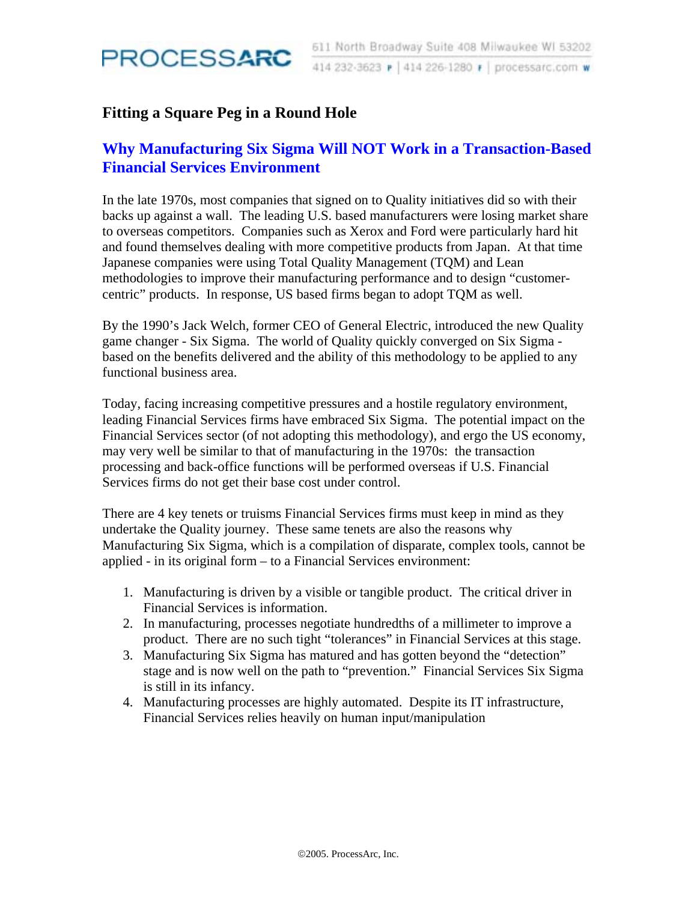

### **Fitting a Square Peg in a Round Hole**

# **Why Manufacturing Six Sigma Will NOT Work in a Transaction-Based Financial Services Environment**

In the late 1970s, most companies that signed on to Quality initiatives did so with their backs up against a wall. The leading U.S. based manufacturers were losing market share to overseas competitors. Companies such as Xerox and Ford were particularly hard hit and found themselves dealing with more competitive products from Japan. At that time Japanese companies were using Total Quality Management (TQM) and Lean methodologies to improve their manufacturing performance and to design "customercentric" products. In response, US based firms began to adopt TQM as well.

By the 1990's Jack Welch, former CEO of General Electric, introduced the new Quality game changer - Six Sigma. The world of Quality quickly converged on Six Sigma based on the benefits delivered and the ability of this methodology to be applied to any functional business area.

Today, facing increasing competitive pressures and a hostile regulatory environment, leading Financial Services firms have embraced Six Sigma. The potential impact on the Financial Services sector (of not adopting this methodology), and ergo the US economy, may very well be similar to that of manufacturing in the 1970s: the transaction processing and back-office functions will be performed overseas if U.S. Financial Services firms do not get their base cost under control.

There are 4 key tenets or truisms Financial Services firms must keep in mind as they undertake the Quality journey. These same tenets are also the reasons why Manufacturing Six Sigma, which is a compilation of disparate, complex tools, cannot be applied - in its original form – to a Financial Services environment:

- 1. Manufacturing is driven by a visible or tangible product. The critical driver in Financial Services is information.
- 2. In manufacturing, processes negotiate hundredths of a millimeter to improve a product. There are no such tight "tolerances" in Financial Services at this stage.
- 3. Manufacturing Six Sigma has matured and has gotten beyond the "detection" stage and is now well on the path to "prevention." Financial Services Six Sigma is still in its infancy.
- 4. Manufacturing processes are highly automated. Despite its IT infrastructure, Financial Services relies heavily on human input/manipulation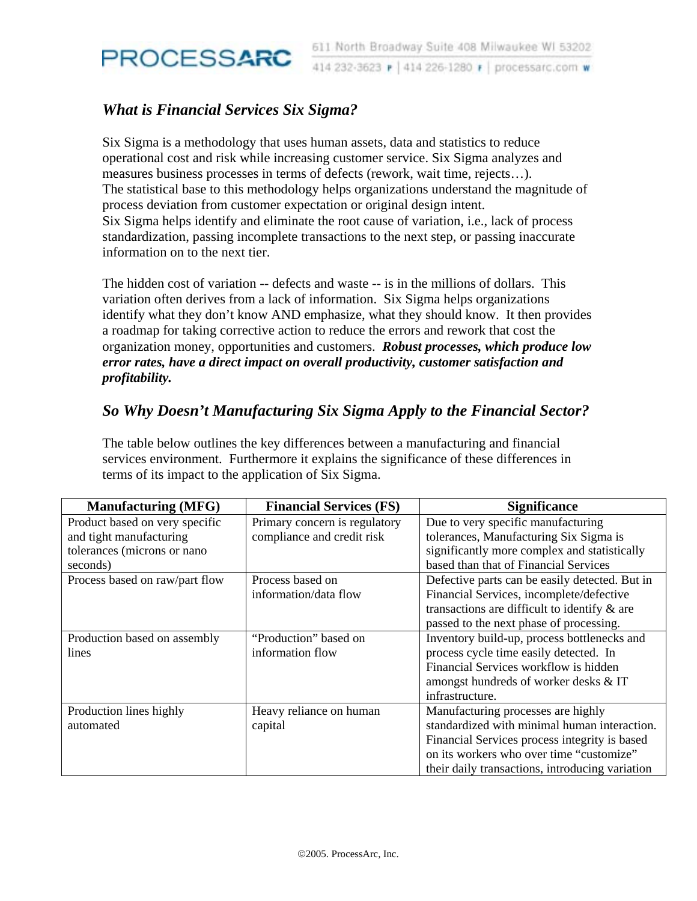

# *What is Financial Services Six Sigma?*

Six Sigma is a methodology that uses human assets, data and statistics to reduce operational cost and risk while increasing customer service. Six Sigma analyzes and measures business processes in terms of defects (rework, wait time, rejects…). The statistical base to this methodology helps organizations understand the magnitude of process deviation from customer expectation or original design intent. Six Sigma helps identify and eliminate the root cause of variation, i.e., lack of process standardization, passing incomplete transactions to the next step, or passing inaccurate information on to the next tier.

The hidden cost of variation -- defects and waste -- is in the millions of dollars. This variation often derives from a lack of information. Six Sigma helps organizations identify what they don't know AND emphasize, what they should know. It then provides a roadmap for taking corrective action to reduce the errors and rework that cost the organization money, opportunities and customers. *Robust processes, which produce low error rates, have a direct impact on overall productivity, customer satisfaction and profitability.* 

### *So Why Doesn't Manufacturing Six Sigma Apply to the Financial Sector?*

The table below outlines the key differences between a manufacturing and financial services environment. Furthermore it explains the significance of these differences in terms of its impact to the application of Six Sigma.

| <b>Manufacturing (MFG)</b>     | <b>Financial Services (FS)</b> | <b>Significance</b>                             |
|--------------------------------|--------------------------------|-------------------------------------------------|
| Product based on very specific | Primary concern is regulatory  | Due to very specific manufacturing              |
| and tight manufacturing        | compliance and credit risk     | tolerances, Manufacturing Six Sigma is          |
| tolerances (microns or nano    |                                | significantly more complex and statistically    |
| seconds)                       |                                | based than that of Financial Services           |
| Process based on raw/part flow | Process based on               | Defective parts can be easily detected. But in  |
|                                | information/data flow          | Financial Services, incomplete/defective        |
|                                |                                | transactions are difficult to identify $\&$ are |
|                                |                                | passed to the next phase of processing.         |
| Production based on assembly   | "Production" based on          | Inventory build-up, process bottlenecks and     |
| lines                          | information flow               | process cycle time easily detected. In          |
|                                |                                | Financial Services workflow is hidden           |
|                                |                                | amongst hundreds of worker desks & IT           |
|                                |                                | infrastructure.                                 |
| Production lines highly        | Heavy reliance on human        | Manufacturing processes are highly              |
| automated                      | capital                        | standardized with minimal human interaction.    |
|                                |                                | Financial Services process integrity is based   |
|                                |                                | on its workers who over time "customize"        |
|                                |                                | their daily transactions, introducing variation |